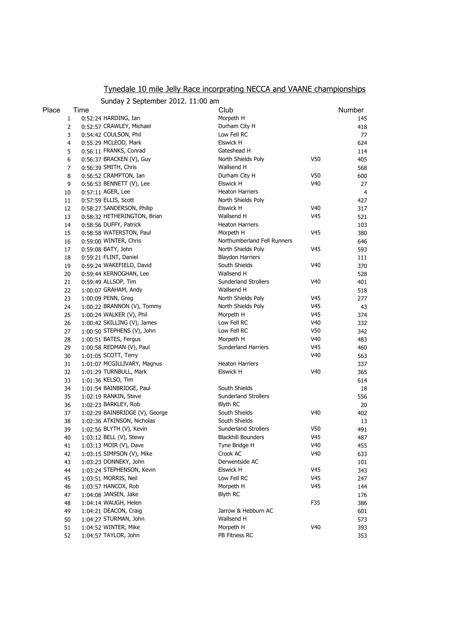## Tynedale 10 mile Jelly Race incorprating NECCA and VAANE championships

|       |                | Sunday 2 September 2012. 11:00 am |                             |                 |        |
|-------|----------------|-----------------------------------|-----------------------------|-----------------|--------|
| Place | Time           |                                   | Club                        |                 | Number |
|       | $\mathbf{1}$   | $0:52:24$ HARDING, Ian            | Morpeth H                   |                 | 145    |
|       | $\overline{2}$ | 0:52:57 CRAWLEY, Michael          | Durham City H               |                 | 418    |
|       | 3              | 0:54:42 COULSON, Phil             | Low Fell RC                 |                 | 77     |
|       | $\overline{4}$ | 0:55:29 MCLEOD, Mark              | <b>Elswick H</b>            |                 | 624    |
|       | 5              | 0:56:11 FRANKS, Conrad            | Gateshead H                 |                 | 114    |
|       | 6              | 0:56:37 BRACKEN (V), Guy          | North Shields Poly          | V50             | 405    |
|       | $\overline{7}$ | 0:56:39 SMITH, Chris              | Wallsend H                  |                 | 568    |
|       | 8              | 0:56:52 CRAMPTON, Ian             | Durham City H               | V50             | 600    |
|       | 9              | 0:56:53 BENNETT (V), Lee          | <b>Elswick H</b>            | V40             | 27     |
| 10    |                | 0:57:11 AGER, Lee                 | <b>Heaton Harriers</b>      |                 | 4      |
| 11    |                | 0:57:59 ELLIS, Scott              | North Shields Poly          |                 | 427    |
| 12    |                | 0:58:27 SANDERSON, Philip         | <b>Elswick H</b>            | V40             | 317    |
| 13    |                | 0:58:32 HETHERINGTON, Brian       | Wallsend H                  | V45             | 521    |
| 14    |                | 0:58:56 DUFFY, Patrick            | <b>Heaton Harriers</b>      |                 | 103    |
| 15    |                | 0:58:58 WATERSTON, Paul           | Morpeth H                   | V45             | 380    |
| 16    |                | 0:59:00 WINTER, Chris             | Northumberland Fell Runners |                 | 646    |
| 17    |                | 0:59:08 BATY, John                | North Shields Poly          | V45             | 593    |
| 18    |                | $0:59:21$ FLINT, Daniel           | <b>Blaydon Harriers</b>     |                 | 111    |
| 19    |                | 0:59:24 WAKEFIELD, David          | South Shields               | V40             | 370    |
| 20    |                | 0:59:44 KERNOGHAN, Lee            | Wallsend H                  |                 | 528    |
| 21    |                | 0:59:49 ALLSOP, Tim               | <b>Sunderland Strollers</b> | V40             | 401    |
| 22    |                | 1:00:07 GRAHAM, Andy              | Wallsend H                  |                 | 518    |
| 23    |                | 1:00:09 PENN, Greg                | North Shields Poly          | V45             | 277    |
| 24    |                | 1:00:22 BRANNON (V), Tommy        | North Shields Poly          | V45             | 43     |
| 25    |                | 1:00:24 WALKER (V), Phil          | Morpeth H                   | V45             | 374    |
| 26    |                | 1:00:42 SKILLING (V), James       | Low Fell RC                 | V40             | 332    |
| 27    |                | 1:00:50 STEPHENS (V), John        | Low Fell RC                 | V50             | 342    |
| 28    |                | 1:00:51 BATES, Fergus             | Morpeth H                   | V40             | 483    |
| 29    |                | 1:00:58 REDMAN (V), Paul          | Sunderland Harriers         | V45             | 460    |
| 30    |                | 1:01:05 SCOTT, Terry              |                             | V40             | 563    |
| 31    |                | 1:01:07 MCGILLIVARY, Magnus       | <b>Heaton Harriers</b>      |                 | 337    |
| 32    |                | 1:01:29 TURNBULL, Mark            | <b>Elswick H</b>            | V40             | 365    |
| 33    |                | 1:01:36 KELSO, Tim                |                             |                 | 614    |
| 34    |                | 1:01:54 BAINBRIDGE, Paul          | South Shields               |                 | 18     |
| 35    |                | 1:02:19 RANKIN, Steve             | <b>Sunderland Strollers</b> |                 | 556    |
| 36    |                | 1:02:23 BARKLEY, Rob              | <b>Blyth RC</b>             |                 | 20     |
| 37    |                | 1:02:29 BAINBRIDGE (V), George    | South Shields               | V40             | 402    |
| 38    |                | 1:02:36 ATKINSON, Nicholas        | South Shields               |                 | 13     |
| 39    |                | 1:02:56 BLYTH (V), Kevin          | <b>Sunderland Strollers</b> | V50             | 491    |
| 40    |                | 1:03:12 BELL (V), Stewy           | <b>Blackhill Bounders</b>   | V <sub>45</sub> | 487    |
| 41    |                | 1:03:13 MOIR (V), Dave            | Tyne Bridge H               | V40             | 455    |
| 42    |                | 1:03:15 SIMPSON (V), Mike         | Crook AC                    | V40             | 633    |
| 43    |                | 1:03:23 DONNEKY, John             | Derwentside AC              |                 | 101    |
| 44    |                | 1:03:24 STEPHENSON, Kevin         | Elswick H                   | V45             | 343    |
| 45    |                | 1:03:51 MORRIS, Neil              | Low Fell RC                 | V45             | 247    |
| 46    |                | 1:03:57 HANCOX, Rob               | Morpeth H                   | V45             | 144    |
| 47    |                | 1:04:08 JANSEN, Jake              | <b>Blyth RC</b>             |                 | 176    |
| 48    |                | 1:04:14 WAUGH, Helen              |                             | F35             | 386    |
| 49    |                | 1:04:21 DEACON, Craig             | Jarrow & Hebburn AC         |                 | 601    |
| 50    |                | 1:04:27 STURMAN, John             | Wallsend H                  |                 | 573    |
| 51    |                | 1:04:52 WINTER, Mike              | Morpeth H                   | V40             | 393    |
| 52    |                | 1:04:57 TAYLOR, John              | PB Fitness RC               |                 | 353    |
|       |                |                                   |                             |                 |        |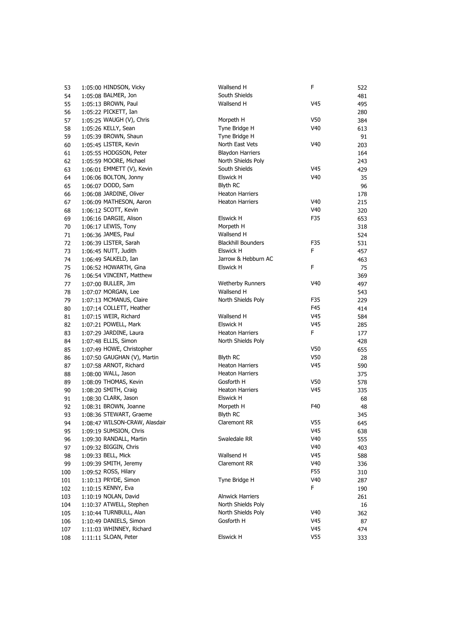| 53  | 1:05:00 HINDSON, Vicky         | Wallsend H                | F               | 522 |
|-----|--------------------------------|---------------------------|-----------------|-----|
| 54  | 1:05:08 BALMER, Jon            | South Shields             |                 | 481 |
| 55  | 1:05:13 BROWN, Paul            | Wallsend H                | V45             | 495 |
| 56  | 1:05:22 PICKETT, Ian           |                           |                 | 280 |
| 57  | 1:05:25 WAUGH (V), Chris       | Morpeth H                 | V50             | 384 |
| 58  | 1:05:26 KELLY, Sean            | Tyne Bridge H             | V <sub>40</sub> | 613 |
| 59  | 1:05:39 BROWN, Shaun           | Tyne Bridge H             |                 | 91  |
| 60  | 1:05:45 LISTER, Kevin          | North East Vets           | V <sub>40</sub> | 203 |
| 61  | 1:05:55 HODGSON, Peter         | <b>Blaydon Harriers</b>   |                 | 164 |
| 62  | 1:05:59 MOORE, Michael         | North Shields Poly        |                 | 243 |
| 63  | $1:06:01$ EMMETT $(V)$ , Kevin | South Shields             | V45             | 429 |
| 64  | 1:06:06 BOLTON, Jonny          | Elswick H                 | V40             | 35  |
| 65  | 1:06:07 DODD, Sam              | <b>Blyth RC</b>           |                 | 96  |
| 66  | 1:06:08 JARDINE, Oliver        | <b>Heaton Harriers</b>    |                 | 178 |
| 67  | 1:06:09 MATHESON, Aaron        | <b>Heaton Harriers</b>    | V40             | 215 |
| 68  | 1:06:12 SCOTT, Kevin           |                           | V40             | 320 |
| 69  | 1:06:16 DARGIE, Alison         | Elswick H                 | F35             | 653 |
| 70  | 1:06:17 LEWIS, Tony            | Morpeth H                 |                 | 318 |
| 71  | 1:06:36 JAMES, Paul            | Wallsend H                |                 | 524 |
| 72  | 1:06:39 LISTER, Sarah          | <b>Blackhill Bounders</b> | F35             | 531 |
| 73  | 1:06:45 NUTT, Judith           | Elswick H                 | F               | 457 |
| 74  | 1:06:49 SALKELD, Ian           | Jarrow & Hebburn AC       |                 | 463 |
| 75  | 1:06:52 HOWARTH, Gina          | Elswick H                 | F               | 75  |
| 76  | 1:06:54 VINCENT, Matthew       |                           |                 | 369 |
| 77  | 1:07:00 BULLER, Jim            | <b>Wetherby Runners</b>   | V40             | 497 |
| 78  | 1:07:07 MORGAN, Lee            | Wallsend H                |                 | 543 |
| 79  | 1:07:13 MCMANUS, Claire        | North Shields Poly        | F35             | 229 |
| 80  | 1:07:14 COLLETT, Heather       |                           | F45             | 414 |
| 81  | $1:07:15$ WEIR, Richard        | Wallsend H                | V45             | 584 |
| 82  | 1:07:21 POWELL, Mark           | Elswick H                 | V45             | 285 |
| 83  | 1:07:29 JARDINE, Laura         | <b>Heaton Harriers</b>    | F.              | 177 |
| 84  | 1:07:48 ELLIS, Simon           | North Shields Poly        |                 | 428 |
| 85  | 1:07:49 HOWE, Christopher      |                           | V50             | 655 |
| 86  | 1:07:50 GAUGHAN (V), Martin    | <b>Blyth RC</b>           | V50             | 28  |
| 87  | 1:07:58 ARNOT, Richard         | <b>Heaton Harriers</b>    | V45             | 590 |
| 88  | 1:08:00 WALL, Jason            | <b>Heaton Harriers</b>    |                 | 375 |
| 89  | 1:08:09 THOMAS, Kevin          | Gosforth H                | V50             | 578 |
| 90  | 1:08:20 SMITH, Craig           | <b>Heaton Harriers</b>    | V45             | 335 |
| 91  | 1:08:30 CLARK, Jason           | Elswick H                 |                 | 68  |
| 92  | 1:08:31 BROWN, Joanne          | Morpeth H                 | F40             | 48  |
| 93  | 1:08:36 STEWART, Graeme        | <b>Blyth RC</b>           |                 | 345 |
| 94  | 1:08:47 WILSON-CRAW, Alasdair  | Claremont RR              | V55             | 645 |
| 95  | 1:09:19 SUMSION, Chris         |                           | V45             | 638 |
| 96  | 1:09:30 RANDALL, Martin        | Swaledale RR              | V40             | 555 |
| 97  | 1:09:32 BIGGIN, Chris          |                           | V40             | 403 |
| 98  | 1:09:33 BELL, Mick             | Wallsend H                | V45             | 588 |
| 99  | 1:09:39 SMITH, Jeremy          | Claremont RR              | V40             | 336 |
| 100 | 1:09:52 ROSS, Hilary           |                           | F55             | 310 |
| 101 | 1:10:13 PRYDE, Simon           | Tyne Bridge H             | V <sub>40</sub> | 287 |
| 102 | 1:10:15 KENNY, Eva             |                           | F               | 190 |
| 103 | 1:10:19 NOLAN, David           | <b>Alnwick Harriers</b>   |                 | 261 |
| 104 | 1:10:37 ATWELL, Stephen        | North Shields Poly        |                 | 16  |
| 105 | 1:10:44 TURNBULL, Alan         | North Shields Poly        | V <sub>40</sub> | 362 |
| 106 | 1:10:49 DANIELS, Simon         | Gosforth H                | V45             | 87  |
| 107 | 1:11:03 WHINNEY, Richard       |                           | V45             | 474 |
| 108 | 1:11:11 SLOAN, Peter           | Elswick H                 | V55             | 333 |
|     |                                |                           |                 |     |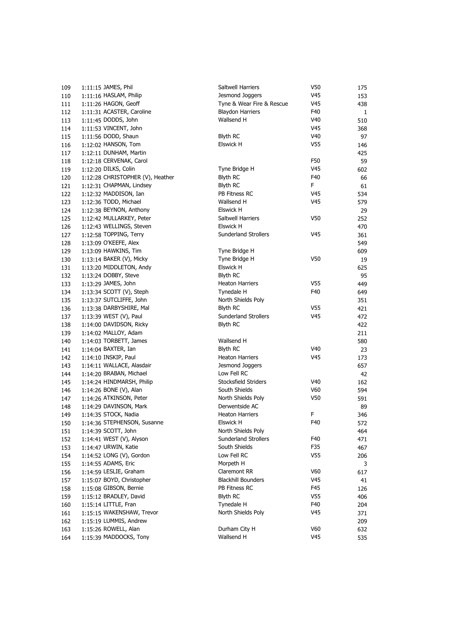| 109        | 1:11:15 JAMES, Phil              | Saltwell Harriers           | V50             | 175        |
|------------|----------------------------------|-----------------------------|-----------------|------------|
| 110        | 1:11:16 HASLAM, Philip           | Jesmond Joggers             | V45             | 153        |
| 111        | 1:11:26 HAGON, Geoff             | Tyne & Wear Fire & Rescue   | V45             | 438        |
| 112        | 1:11:31 ACASTER, Caroline        | <b>Blaydon Harriers</b>     | F40             | 1          |
| 113        | 1:11:45 DODDS, John              | Wallsend H                  | V40             | 510        |
| 114        | 1:11:53 VINCENT, John            |                             | V45             | 368        |
| 115        | 1:11:56 DODD, Shaun              | <b>Blyth RC</b>             | V40             | 97         |
| 116        | 1:12:02 HANSON, Tom              | Elswick H                   | V55             | 146        |
| 117        | 1:12:11 DUNHAM, Martin           |                             |                 | 425        |
| 118        | 1:12:18 CERVENAK, Carol          |                             | F50             | 59         |
| 119        | 1:12:20 DILKS, Colin             | Tyne Bridge H               | V45             | 602        |
| 120        | 1:12:28 CHRISTOPHER (V), Heather | <b>Blyth RC</b>             | F40             | 66         |
| 121        | 1:12:31 CHAPMAN, Lindsey         | Blyth RC                    | F               | 61         |
| 122        | 1:12:32 MADDISON, Ian            | PB Fitness RC               | V45             | 534        |
| 123        | 1:12:36 TODD, Michael            | Wallsend H                  | V45             | 579        |
| 124        | 1:12:38 BEYNON, Anthony          | Elswick H                   |                 | 29         |
| 125        | 1:12:42 MULLARKEY, Peter         | Saltwell Harriers           | V50             | 252        |
| 126        | 1:12:43 WELLINGS, Steven         | Elswick H                   |                 | 470        |
| 127        | 1:12:58 TOPPING, Terry           | <b>Sunderland Strollers</b> | V45             | 361        |
| 128        | 1:13:09 O'KEEFE, Alex            |                             |                 | 549        |
| 129        | 1:13:09 HAWKINS, Tim             | Tyne Bridge H               |                 | 609        |
| 130        | 1:13:14 BAKER (V), Micky         | Tyne Bridge H               | V50             | 19         |
| 131        | 1:13:20 MIDDLETON, Andy          | Elswick H                   |                 | 625        |
| 132        | 1:13:24 DOBBY, Steve             | Blyth RC                    |                 | 95         |
| 133        | 1:13:29 JAMES, John              | <b>Heaton Harriers</b>      | V55             | 449        |
| 134        | 1:13:34 SCOTT (V), Steph         | Tynedale H                  | F40             | 649        |
|            | 1:13:37 SUTCLIFFE, John          | North Shields Poly          |                 |            |
| 135<br>136 | 1:13:38 DARBYSHIRE, Mal          | <b>Blyth RC</b>             | V <sub>55</sub> | 351<br>421 |
|            | 1:13:39 WEST (V), Paul           | <b>Sunderland Strollers</b> | V45             |            |
| 137        | 1:14:00 DAVIDSON, Ricky          | <b>Blyth RC</b>             |                 | 472        |
| 138        | 1:14:02 MALLOY, Adam             |                             |                 | 422        |
| 139        |                                  | Wallsend H                  |                 | 211        |
| 140        | $1:14:03$ TORBETT, James         | <b>Blyth RC</b>             | V40             | 580        |
| 141        | 1:14:04 BAXTER, Ian              |                             |                 | 23         |
| 142        | 1:14:10 INSKIP, Paul             | <b>Heaton Harriers</b>      | V45             | 173        |
| 143        | 1:14:11 WALLACE, Alasdair        | Jesmond Joggers             |                 | 657        |
| 144        | 1:14:20 BRABAN, Michael          | Low Fell RC                 |                 | 42         |
| 145        | 1:14:24 HINDMARSH, Philip        | Stocksfield Striders        | V40             | 162        |
| 146        | 1:14:26 BONE (V), Alan           | South Shields               | V60             | 594        |
| 147        | 1:14:26 ATKINSON, Peter          | North Shields Poly          | V50             | 591        |
| 148        | 1:14:29 DAVINSON, Mark           | Derwentside AC              |                 | 89         |
| 149        | 1:14:35 STOCK, Nadia             | <b>Heaton Harriers</b>      | F               | 346        |
| 150        | 1:14:36 STEPHENSON, Susanne      | <b>Elswick H</b>            | F40             | 572        |
| 151        | 1:14:39 SCOTT, John              | North Shields Poly          |                 | 464        |
| 152        | 1:14:41 WEST (V), Alyson         | Sunderland Strollers        | F40             | 471        |
| 153        | 1:14:47 URWIN, Katie             | South Shields               | F35             | 467        |
| 154        | 1:14:52 LONG (V), Gordon         | Low Fell RC                 | V55             | 206        |
| 155        | 1:14:55 ADAMS, Eric              | Morpeth H                   |                 | 3          |
| 156        | 1:14:59 LESLIE, Graham           | Claremont RR                | V60             | 617        |
| 157        | 1:15:07 BOYD, Christopher        | <b>Blackhill Bounders</b>   | V45             | 41         |
| 158        | 1:15:08 GIBSON, Bernie           | PB Fitness RC               | F45             | 126        |
| 159        | 1:15:12 BRADLEY, David           | <b>Blyth RC</b>             | V <sub>55</sub> | 406        |
| 160        | 1:15:14 LITTLE, Fran             | Tynedale H                  | F40             | 204        |
| 161        | 1:15:15 WAKENSHAW, Trevor        | North Shields Poly          | V45             | 371        |
| 162        | 1:15:19 LUMMIS, Andrew           |                             |                 | 209        |
| 163        | 1:15:26 ROWELL, Alan             | Durham City H               | V60             | 632        |
| 164        | 1:15:39 MADDOCKS, Tony           | Wallsend H                  | V45             | 535        |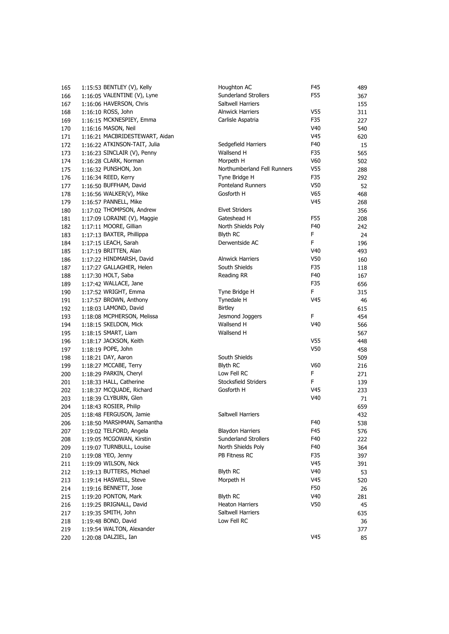| 165 | 1:15:53 BENTLEY (V), Kelly     | Houghton AC                 | F45             | 489 |
|-----|--------------------------------|-----------------------------|-----------------|-----|
| 166 | 1:16:05 VALENTINE (V), Lyne    | Sunderland Strollers        | F55             | 367 |
| 167 | 1:16:06 HAVERSON, Chris        | Saltwell Harriers           |                 | 155 |
| 168 | 1:16:10 ROSS, John             | <b>Alnwick Harriers</b>     | V55             | 311 |
| 169 | 1:16:15 MCKNESPIEY, Emma       | Carlisle Aspatria           | F35             | 227 |
| 170 | 1:16:16 MASON, Neil            |                             | V40             | 540 |
| 171 | 1:16:21 MACBRIDESTEWART, Aidan |                             | V45             | 620 |
| 172 | 1:16:22 ATKINSON-TAIT, Julia   | Sedgefield Harriers         | F40             | 15  |
| 173 | 1:16:23 SINCLAIR (V), Penny    | Wallsend H                  | F35             | 565 |
| 174 | 1:16:28 CLARK, Norman          | Morpeth H                   | V60             | 502 |
| 175 | 1:16:32 PUNSHON, Jon           | Northumberland Fell Runners | V <sub>55</sub> | 288 |
| 176 | 1:16:34 REED, Kerry            | Tyne Bridge H               | F35             | 292 |
| 177 | 1:16:50 BUFFHAM, David         | <b>Ponteland Runners</b>    | V50             | 52  |
| 178 | 1:16:56 WALKER(V), Mike        | Gosforth H                  | V65             | 468 |
| 179 | 1:16:57 PANNELL, Mike          |                             | V45             | 268 |
|     | 1:17:02 THOMPSON, Andrew       | <b>Elvet Striders</b>       |                 |     |
| 180 |                                | Gateshead H                 |                 | 356 |
| 181 | 1:17:09 LORAINE (V), Maggie    | North Shields Poly          | F55<br>F40      | 208 |
| 182 | 1:17:11 MOORE, Gillian         |                             |                 | 242 |
| 183 | 1:17:13 BAXTER, Phillippa      | <b>Blyth RC</b>             | F               | 24  |
| 184 | 1:17:15 LEACH, Sarah           | Derwentside AC              | F               | 196 |
| 185 | 1:17:19 BRITTEN, Alan          |                             | V40             | 493 |
| 186 | 1:17:22 HINDMARSH, David       | <b>Alnwick Harriers</b>     | V50             | 160 |
| 187 | 1:17:27 GALLAGHER, Helen       | South Shields               | F35             | 118 |
| 188 | 1:17:30 HOLT, Saba             | Reading RR                  | F40             | 167 |
| 189 | 1:17:42 WALLACE, Jane          |                             | F35             | 656 |
| 190 | 1:17:52 WRIGHT, Emma           | Tyne Bridge H               | F               | 315 |
| 191 | 1:17:57 BROWN, Anthony         | Tynedale H                  | V45             | 46  |
| 192 | 1:18:03 LAMOND, David          | <b>Birtley</b>              |                 | 615 |
| 193 | 1:18:08 MCPHERSON, Melissa     | Jesmond Joggers             | F               | 454 |
| 194 | 1:18:15 SKELDON, Mick          | Wallsend H                  | V40             | 566 |
| 195 | 1:18:15 SMART, Liam            | Wallsend H                  |                 | 567 |
| 196 | 1:18:17 JACKSON, Keith         |                             | V55             | 448 |
| 197 | 1:18:19 POPE, John             |                             | V50             | 458 |
| 198 | 1:18:21 DAY, Aaron             | South Shields               |                 | 509 |
| 199 | 1:18:27 MCCABE, Terry          | Blyth RC                    | V60             | 216 |
| 200 | 1:18:29 PARKIN, Cheryl         | Low Fell RC                 | F               | 271 |
| 201 | 1:18:33 HALL, Catherine        | Stocksfield Striders        | F               | 139 |
| 202 | 1:18:37 MCQUADE, Richard       | Gosforth H                  | V45             | 233 |
| 203 | 1:18:39 CLYBURN, Glen          |                             | V40             | 71  |
| 204 | 1:18:43 ROSIER, Philip         |                             |                 | 659 |
| 205 | 1:18:48 FERGUSON, Jamie        | Saltwell Harriers           |                 | 432 |
| 206 | 1:18:50 MARSHMAN, Samantha     |                             | F40             | 538 |
| 207 | 1:19:02 TELFORD, Angela        | <b>Blaydon Harriers</b>     | F45             | 576 |
| 208 | 1:19:05 MCGOWAN, Kirstin       | <b>Sunderland Strollers</b> | F40             | 222 |
| 209 | 1:19:07 TURNBULL, Louise       | North Shields Poly          | F40             | 364 |
| 210 | 1:19:08 YEO, Jenny             | PB Fitness RC               | F35             | 397 |
| 211 | 1:19:09 WILSON, Nick           |                             | V45             | 391 |
| 212 | 1:19:13 BUTTERS, Michael       | <b>Blyth RC</b>             | V40             | 53  |
| 213 | 1:19:14 HASWELL, Steve         | Morpeth H                   | V45             | 520 |
| 214 | 1:19:16 BENNETT, Jose          |                             | F50             | 26  |
| 215 | 1:19:20 PONTON, Mark           | <b>Blyth RC</b>             | V40             | 281 |
| 216 | 1:19:25 BRIGNALL, David        | <b>Heaton Harriers</b>      | V50             | 45  |
| 217 | 1:19:35 SMITH, John            | Saltwell Harriers           |                 | 635 |
| 218 | 1:19:48 BOND, David            | Low Fell RC                 |                 | 36  |
| 219 | 1:19:54 WALTON, Alexander      |                             |                 | 377 |
| 220 | 1:20:08 DALZIEL, Ian           |                             | V45             | 85  |
|     |                                |                             |                 |     |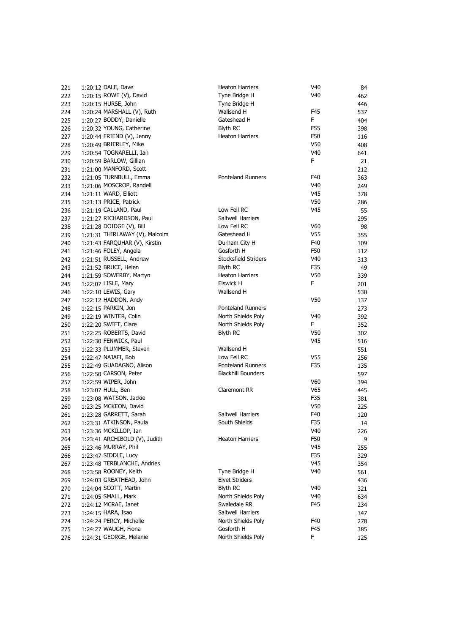| 221 | 1:20:12 DALE, Dave             | <b>Heaton Harriers</b>    | V <sub>40</sub> | 84  |
|-----|--------------------------------|---------------------------|-----------------|-----|
| 222 | 1:20:15 ROWE (V), David        | Tyne Bridge H             | V <sub>40</sub> | 462 |
| 223 | 1:20:15 HURSE, John            | Tyne Bridge H             |                 | 446 |
|     | 1:20:24 MARSHALL (V), Ruth     | Wallsend H                | F45             |     |
| 224 |                                | Gateshead H               | F.              | 537 |
| 225 | 1:20:27 BODDY, Danielle        |                           |                 | 404 |
| 226 | 1:20:32 YOUNG, Catherine       | <b>Blyth RC</b>           | F55             | 398 |
| 227 | 1:20:44 FRIEND (V), Jenny      | <b>Heaton Harriers</b>    | F50             | 116 |
| 228 | 1:20:49 BRIERLEY, Mike         |                           | V50             | 408 |
| 229 | 1:20:54 TOGNARELLI, Ian        |                           | V <sub>40</sub> | 641 |
| 230 | 1:20:59 BARLOW, Gillian        |                           | F.              | 21  |
| 231 | 1:21:00 MANFORD, Scott         |                           |                 | 212 |
| 232 | 1:21:05 TURNBULL, Emma         | <b>Ponteland Runners</b>  | F40             | 363 |
| 233 | 1:21:06 MOSCROP, Randell       |                           | V40             | 249 |
| 234 | 1:21:11 WARD, Elliott          |                           | V45             | 378 |
| 235 | 1:21:13 PRICE, Patrick         |                           | V50             | 286 |
| 236 | 1:21:19 CALLAND, Paul          | Low Fell RC               | V45             | 55  |
| 237 | 1:21:27 RICHARDSON, Paul       | Saltwell Harriers         |                 | 295 |
| 238 | 1:21:28 DOIDGE (V), Bill       | Low Fell RC               | V60             | 98  |
| 239 | 1:21:31 THIRLAWAY (V), Malcolm | Gateshead H               | V <sub>55</sub> | 355 |
| 240 | 1:21:43 FARQUHAR (V), Kirstin  | Durham City H             | F40             | 109 |
| 241 | 1:21:46 FOLEY, Angela          | Gosforth H                | F50             | 112 |
| 242 | 1:21:51 RUSSELL, Andrew        | Stocksfield Striders      | V <sub>40</sub> | 313 |
| 243 | 1:21:52 BRUCE, Helen           | <b>Blyth RC</b>           | F35             | 49  |
| 244 | 1:21:59 SOWERBY, Martyn        | <b>Heaton Harriers</b>    | V50             | 339 |
| 245 | 1:22:07 LISLE, Mary            | Elswick H                 | F.              | 201 |
| 246 | 1:22:10 LEWIS, Gary            | Wallsend H                |                 | 530 |
| 247 | 1:22:12 HADDON, Andy           |                           | V50             | 137 |
| 248 | 1:22:15 PARKIN, Jon            | <b>Ponteland Runners</b>  |                 | 273 |
| 249 | 1:22:19 WINTER, Colin          | North Shields Poly        | V <sub>40</sub> | 392 |
| 250 | 1:22:20 SWIFT, Clare           | North Shields Poly        | F.              | 352 |
| 251 | 1:22:25 ROBERTS, David         | Blyth RC                  | V50             | 302 |
| 252 | 1:22:30 FENWICK, Paul          |                           | V45             | 516 |
|     | 1:22:33 PLUMMER, Steven        | Wallsend H                |                 |     |
| 253 |                                | Low Fell RC               |                 | 551 |
| 254 | 1:22:47 NAJAFI, Bob            |                           | V55             | 256 |
| 255 | 1:22:49 GUADAGNO, Alison       | Ponteland Runners         | F35             | 135 |
| 256 | 1:22:50 CARSON, Peter          | <b>Blackhill Bounders</b> |                 | 597 |
| 257 | 1:22:59 WIPER, John            |                           | V60             | 394 |
| 258 | 1:23:07 HULL, Ben              | Claremont RR              | V65             | 445 |
| 259 | 1:23:08 WATSON, Jackie         |                           | F35             | 381 |
| 260 | 1:23:25 MCKEON, David          |                           | V50             | 225 |
| 261 | 1:23:28 GARRETT, Sarah         | Saltwell Harriers         | F40             | 120 |
| 262 | 1:23:31 ATKINSON, Paula        | South Shields             | F35             | 14  |
| 263 | 1:23:36 MCKILLOP, Ian          |                           | V40             | 226 |
| 264 | 1:23:41 ARCHIBOLD (V), Judith  | <b>Heaton Harriers</b>    | F50             | 9   |
| 265 | 1:23:46 MURRAY, Phil           |                           | V45             | 255 |
| 266 | 1:23:47 SIDDLE, Lucy           |                           | F35             | 329 |
| 267 | 1:23:48 TERBLANCHE, Andries    |                           | V45             | 354 |
| 268 | 1:23:58 ROONEY, Keith          | Tyne Bridge H             | V <sub>40</sub> | 561 |
| 269 | 1:24:03 GREATHEAD, John        | <b>Elvet Striders</b>     |                 | 436 |
| 270 | 1:24:04 SCOTT, Martin          | <b>Blyth RC</b>           | V <sub>40</sub> | 321 |
| 271 | 1:24:05 SMALL, Mark            | North Shields Poly        | V40             | 634 |
| 272 | 1:24:12 MCRAE, Janet           | Swaledale RR              | F45             | 234 |
| 273 | 1:24:15 HARA, Isao             | Saltwell Harriers         |                 | 147 |
| 274 | 1:24:24 PERCY, Michelle        | North Shields Poly        | F40             | 278 |
| 275 | 1:24:27 WAUGH, Fiona           | Gosforth H                | F45             | 385 |
| 276 | 1:24:31 GEORGE, Melanie        | North Shields Poly        | F               | 125 |
|     |                                |                           |                 |     |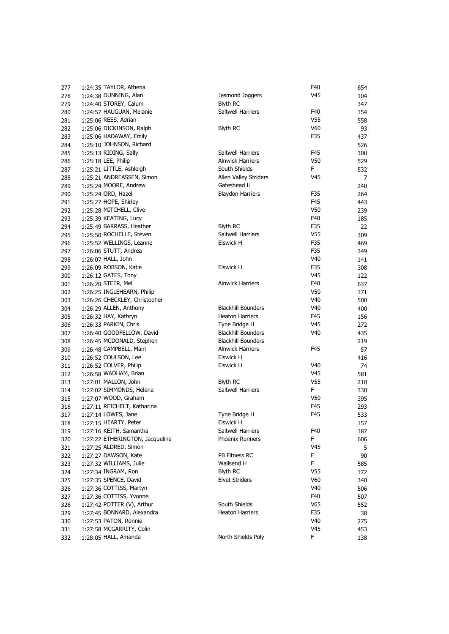| 277        | 1:24:35 TAYLOR, Athena                        |                                             | F40             | 654            |
|------------|-----------------------------------------------|---------------------------------------------|-----------------|----------------|
| 278        | 1:24:38 DUNNING, Alan                         | Jesmond Joggers                             | V45             | 104            |
| 279        | 1:24:40 STOREY, Calum                         | <b>Blyth RC</b>                             |                 | 347            |
| 280        | 1:24:57 HAUGUAN, Melanie                      | Saltwell Harriers                           | F40             | 154            |
| 281        | 1:25:06 REES, Adrian                          |                                             | V <sub>55</sub> | 558            |
| 282        | 1:25:06 DICKINSON, Ralph                      | <b>Blyth RC</b>                             | V60             | 93             |
| 283        | 1:25:06 HADAWAY, Emily                        |                                             | F35             | 437            |
| 284        | 1:25:10 JOHNSON, Richard                      |                                             |                 | 526            |
| 285        | 1:25:13 RIDING, Sally                         | Saltwell Harriers                           | F45             | 300            |
| 286        | 1:25:18 LEE, Philip                           | <b>Alnwick Harriers</b>                     | V50             | 529            |
| 287        | 1:25:21 LITTLE, Ashleigh                      | South Shields                               | F.              | 532            |
| 288        | 1:25:21 ANDREASSEN, Simon                     | Allen Valley Striders                       | V <sub>45</sub> | $\overline{7}$ |
| 289        | 1:25:24 MOORE, Andrew                         | Gateshead H                                 |                 | 240            |
| 290        | 1:25:24 ORD, Hazel                            | <b>Blaydon Harriers</b>                     | F35             | 264            |
| 291        | 1:25:27 HOPE, Shirley                         |                                             | F45             | 443            |
| 292        | 1:25:28 MITCHELL, Clive                       |                                             | V50             | 239            |
| 293        | 1:25:39 KEATING, Lucy                         |                                             | F40             | 185            |
| 294        | 1:25:49 BARRASS, Heather                      | Blyth RC                                    | F35             | 22             |
| 295        | 1:25:50 ROCHELLE, Steven                      | Saltwell Harriers                           | V <sub>55</sub> | 309            |
| 296        | 1:25:52 WELLINGS, Leanne                      | Elswick H                                   | F35             | 469            |
| 297        | 1:26:06 STUTT, Andrea                         |                                             | F35             | 349            |
| 298        | 1:26:07 HALL, John                            |                                             | V40             | 141            |
| 299        | 1:26:09 ROBSON, Katie                         | <b>Elswick H</b>                            | F35             | 308            |
| 300        | 1:26:12 GATES, Tony                           |                                             | V45             | 122            |
| 301        | 1:26:20 STEER, Mel                            | <b>Alnwick Harriers</b>                     | F40             | 637            |
| 302        | 1:26:25 INGLEHEARN, Philip                    |                                             | V50             | 171            |
| 303        | 1:26:26 CHECKLEY, Christopher                 |                                             | V40             | 500            |
| 304        | 1:26:29 ALLEN, Anthony                        | <b>Blackhill Bounders</b>                   | V40             | 400            |
| 305        | 1:26:32 HAY, Kathryn                          | <b>Heaton Harriers</b>                      | F45             | 156            |
| 306        | 1:26:33 PARKIN, Chris                         | Tyne Bridge H                               | V45             | 272            |
| 307        | 1:26:40 GOODFELLOW, David                     | <b>Blackhill Bounders</b>                   | V <sub>40</sub> | 435            |
|            | 1:26:45 MCDONALD, Stephen                     | <b>Blackhill Bounders</b>                   |                 |                |
| 308<br>309 | 1:26:48 CAMPBELL, Mairi                       | <b>Alnwick Harriers</b>                     | F45             | 219<br>57      |
| 310        | 1:26:52 COULSON, Lee                          | <b>Elswick H</b>                            |                 | 416            |
|            | 1:26:52 COLVER, Philip                        | <b>Elswick H</b>                            | V <sub>40</sub> |                |
| 311        |                                               |                                             | V45             | 74             |
| 312        | 1:26:58 WADHAM, Brian<br>1:27:01 MALLON, John | <b>Blyth RC</b>                             | V <sub>55</sub> | 581            |
| 313        | 1:27:02 SIMMONDS, Helena                      | Saltwell Harriers                           | F.              | 210            |
| 314        |                                               |                                             |                 | 330            |
| 315        | 1:27:07 WOOD, Graham                          |                                             | V50<br>F45      | 395            |
| 316        | 1:27:11 REICHELT, Katharina                   |                                             |                 | 293            |
| 317        | 1:27:14 LOWES, Jane                           | Tyne Bridge H                               | F45             | 533            |
| 318        | 1:27:15 HEARTY, Peter                         | Elswick H                                   |                 | 157            |
| 319        | 1:27:16 KEITH, Samantha                       | Saltwell Harriers<br><b>Phoenix Runners</b> | F40             | 187            |
| 320        | 1:27:22 ETHERINGTON, Jacqueline               |                                             | F               | 606            |
| 321        | 1:27:25 ALDRED, Simon                         | PB Fitness RC                               | V45             | 5              |
| 322        | 1:27:27 DAWSON, Kate                          |                                             | F               | 90             |
| 323        | 1:27:32 WILLIAMS, Julie                       | Wallsend H                                  | F               | 585            |
| 324        | 1:27:34 INGRAM, Ron                           | <b>Blyth RC</b>                             | V55             | 172            |
| 325        | 1:27:35 SPENCE, David                         | <b>Elvet Striders</b>                       | V60             | 340            |
| 326        | 1:27:36 COTTISS, Martyn                       |                                             | V40             | 506            |
| 327        | 1:27:36 COTTISS, Yvonne                       |                                             | F40             | 507            |
| 328        | 1:27:42 POTTER (V), Arthur                    | South Shields                               | V65             | 552            |
| 329        | 1:27:45 BONNARD, Alexandra                    | <b>Heaton Harriers</b>                      | F35             | 38             |
| 330        | 1:27:53 PATON, Ronnie                         |                                             | V40             | 275            |
| 331        | 1:27:58 MCGARRITY, Colin                      |                                             | V45             | 453            |
| 332        | 1:28:05 HALL, Amanda                          | North Shields Poly                          | F               | 138            |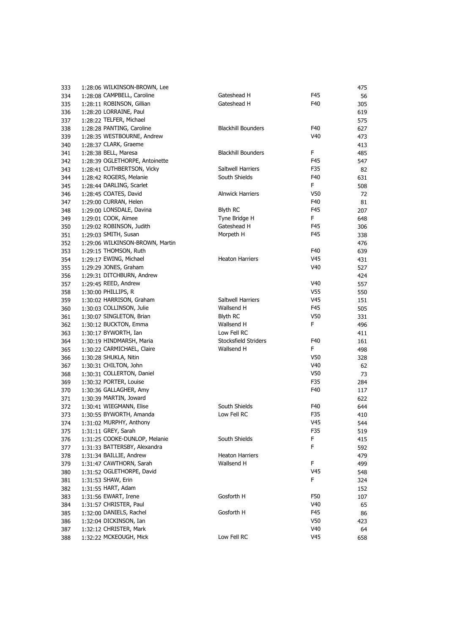| 333 | 1:28:06 WILKINSON-BROWN, Lee    |                           |                 | 475 |
|-----|---------------------------------|---------------------------|-----------------|-----|
| 334 | 1:28:08 CAMPBELL, Caroline      | Gateshead H               | F45             | 56  |
| 335 | 1:28:11 ROBINSON, Gillian       | Gateshead H               | F40             | 305 |
| 336 | 1:28:20 LORRAINE, Paul          |                           |                 | 619 |
| 337 | 1:28:22 TELFER, Michael         |                           |                 | 575 |
| 338 | 1:28:28 PANTING, Caroline       | <b>Blackhill Bounders</b> | F40             | 627 |
| 339 | 1:28:35 WESTBOURNE, Andrew      |                           | V40             | 473 |
| 340 | 1:28:37 CLARK, Graeme           |                           |                 | 413 |
| 341 | 1:28:38 BELL, Maresa            | <b>Blackhill Bounders</b> | F.              | 485 |
| 342 | 1:28:39 OGLETHORPE, Antoinette  |                           | F45             | 547 |
| 343 | 1:28:41 CUTHBERTSON, Vicky      | Saltwell Harriers         | F35             | 82  |
| 344 | 1:28:42 ROGERS, Melanie         | South Shields             | F40             | 631 |
| 345 | 1:28:44 DARLING, Scarlet        |                           | F               | 508 |
| 346 | 1:28:45 COATES, David           | <b>Alnwick Harriers</b>   | V50             | 72  |
| 347 | 1:29:00 CURRAN, Helen           |                           | F40             | 81  |
| 348 | 1:29:00 LONSDALE, Davina        | <b>Blyth RC</b>           | F45             | 207 |
| 349 | 1:29:01 COOK, Aimee             | Tyne Bridge H             | F.              | 648 |
| 350 | 1:29:02 ROBINSON, Judith        | Gateshead H               | F45             | 306 |
| 351 | 1:29:03 SMITH, Susan            | Morpeth H                 | F45             | 338 |
| 352 | 1:29:06 WILKINSON-BROWN, Martin |                           |                 | 476 |
| 353 | 1:29:15 THOMSON, Ruth           |                           | F40             | 639 |
| 354 | 1:29:17 EWING, Michael          | <b>Heaton Harriers</b>    | V45             | 431 |
| 355 | 1:29:29 JONES, Graham           |                           | V40             | 527 |
| 356 | 1:29:31 DITCHBURN, Andrew       |                           |                 | 424 |
| 357 | 1:29:45 REED, Andrew            |                           | V40             | 557 |
|     | 1:30:00 PHILLIPS, R             |                           | V55             |     |
| 358 | 1:30:02 HARRISON, Graham        | Saltwell Harriers         | V45             | 550 |
| 359 |                                 | Wallsend H                |                 | 151 |
| 360 | 1:30:03 COLLINSON, Julie        |                           | F45             | 505 |
| 361 | 1:30:07 SINGLETON, Brian        | Blyth RC                  | V50             | 331 |
| 362 | 1:30:12 BUCKTON, Emma           | Wallsend H                | F               | 496 |
| 363 | 1:30:17 BYWORTH, Ian            | Low Fell RC               |                 | 411 |
| 364 | 1:30:19 HINDMARSH, Maria        | Stocksfield Striders      | F40             | 161 |
| 365 | 1:30:22 CARMICHAEL, Claire      | Wallsend H                | F               | 498 |
| 366 | 1:30:28 SHUKLA, Nitin           |                           | V <sub>50</sub> | 328 |
| 367 | 1:30:31 CHILTON, John           |                           | V40             | 62  |
| 368 | 1:30:31 COLLERTON, Daniel       |                           | V50             | 73  |
| 369 | 1:30:32 PORTER, Louise          |                           | F35             | 284 |
| 370 | 1:30:36 GALLAGHER, Amy          |                           | F40             | 117 |
| 371 | 1:30:39 MARTIN, Joward          |                           |                 | 622 |
| 372 | 1:30:41 WIEGMANN, Elise         | South Shields             | F40             | 644 |
| 373 | 1:30:55 BYWORTH, Amanda         | Low Fell RC               | F35             | 410 |
| 374 | 1:31:02 MURPHY, Anthony         |                           | V45             | 544 |
| 375 | 1:31:11 GREY, Sarah             |                           | F35             | 519 |
| 376 | 1:31:25 COOKE-DUNLOP, Melanie   | South Shields             | F               | 415 |
| 377 | 1:31:33 BATTERSBY, Alexandra    |                           | F               | 592 |
| 378 | 1:31:34 BAILLIE, Andrew         | <b>Heaton Harriers</b>    |                 | 479 |
| 379 | 1:31:47 CAWTHORN, Sarah         | Wallsend H                | F               | 499 |
| 380 | 1:31:52 OGLETHORPE, David       |                           | V45             | 548 |
| 381 | 1:31:53 SHAW, Erin              |                           | F               | 324 |
| 382 | 1:31:55 HART, Adam              |                           |                 | 152 |
| 383 | 1:31:56 EWART, Irene            | Gosforth H                | F50             | 107 |
| 384 | 1:31:57 CHRISTER, Paul          |                           | V40             | 65  |
| 385 | 1:32:00 DANIELS, Rachel         | Gosforth H                | F45             | 86  |
| 386 | 1:32:04 DICKINSON, Ian          |                           | V50             | 423 |
| 387 | 1:32:12 CHRISTER, Mark          |                           | V40             | 64  |
| 388 | 1:32:22 MCKEOUGH, Mick          | Low Fell RC               | V45             | 658 |
|     |                                 |                           |                 |     |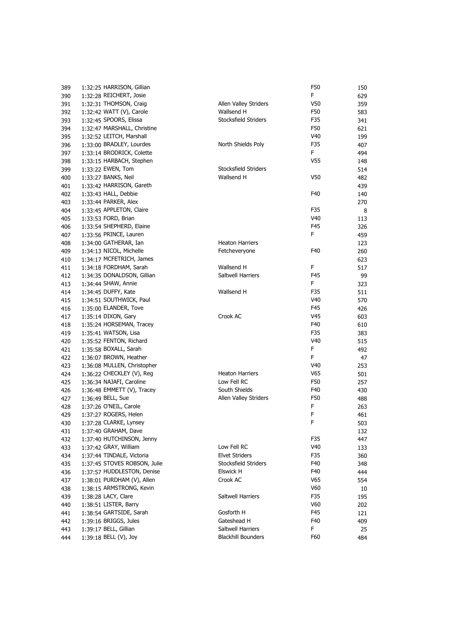| 389 | 1:32:25 HARRISON, Gillian    |                           | F50             |
|-----|------------------------------|---------------------------|-----------------|
| 390 | 1:32:28 REICHERT, Josie      |                           | F.              |
| 391 | 1:32:31 THOMSON, Craig       | Allen Valley Striders     | V50             |
| 392 | 1:32:42 WATT (V), Carole     | Wallsend H                | F50             |
| 393 | 1:32:45 SPOORS, Elissa       | Stocksfield Striders      | F35             |
| 394 | 1:32:47 MARSHALL, Christine  |                           | F50             |
| 395 | 1:32:52 LEITCH, Marshall     |                           | V40             |
| 396 | 1:33:00 BRADLEY, Lourdes     | North Shields Poly        | F35             |
| 397 | 1:33:14 BRODRICK, Colette    |                           | F.              |
| 398 | 1:33:15 HARBACH, Stephen     |                           | V <sub>55</sub> |
| 399 | 1:33:22 EWEN, Tom            | Stocksfield Striders      |                 |
| 400 | 1:33:27 BANKS, Neil          | Wallsend H                | V50             |
| 401 | 1:33:42 HARRISON, Gareth     |                           |                 |
| 402 | 1:33:43 HALL, Debbie         |                           | F40             |
| 403 | 1:33:44 PARKER, Alex         |                           |                 |
| 404 | 1:33:45 APPLETON, Claire     |                           | F35             |
| 405 | 1:33:53 FORD, Brian          |                           | V40             |
| 406 | 1:33:54 SHEPHERD, Elaine     |                           | F45             |
| 407 | 1:33:56 PRINCE, Lauren       |                           | F.              |
| 408 | 1:34:00 GATHERAR, Ian        | <b>Heaton Harriers</b>    |                 |
| 409 | 1:34:13 NICOL, Michelle      | Fetcheveryone             | F40             |
| 410 | 1:34:17 MCFETRICH, James     |                           |                 |
| 411 | 1:34:18 FORDHAM, Sarah       | Wallsend H                | F.              |
| 412 | 1:34:35 DONALDSON, Gillian   | Saltwell Harriers         | F45             |
| 413 | 1:34:44 SHAW, Annie          |                           | F.              |
| 414 | 1:34:45 DUFFY, Kate          | Wallsend H                | F35             |
| 415 | 1:34:51 SOUTHWICK, Paul      |                           | V40             |
| 416 | 1:35:00 ELANDER, Tove        |                           | F45             |
| 417 | 1:35:14 DIXON, Gary          | Crook AC                  | V45             |
| 418 | 1:35:24 HORSEMAN, Tracey     |                           | F40             |
| 419 | 1:35:41 WATSON, Lisa         |                           | F35             |
| 420 | 1:35:52 FENTON, Richard      |                           | V40             |
| 421 | 1:35:58 BOXALL, Sarah        |                           | F.              |
| 422 | 1:36:07 BROWN, Heather       |                           | F.              |
| 423 | 1:36:08 MULLEN, Christopher  |                           | V40             |
| 424 | 1:36:22 CHECKLEY (V), Reg    | <b>Heaton Harriers</b>    | V65             |
| 425 | 1:36:34 NAJAFI, Caroline     | Low Fell RC               | F50             |
| 426 | $1:36:48$ EMMETT (V), Tracey | South Shields             | F40             |
| 427 | 1:36:49 BELL, Sue            | Allen Valley Striders     | F50             |
| 428 | 1:37:26 O'NEIL, Carole       |                           | F.              |
| 429 | 1:37:27 ROGERS, Helen        |                           | F               |
| 430 | 1:37:28 CLARKE, Lynsey       |                           | F.              |
| 431 | 1:37:40 GRAHAM, Dave         |                           |                 |
| 432 | 1:37:40 HUTCHINSON, Jenny    |                           | F35             |
| 433 | 1:37:42 GRAY, William        | Low Fell RC               | V40             |
| 434 | 1:37:44 TINDALE, Victoria    | <b>Elvet Striders</b>     | F35             |
| 435 | 1:37:45 STOVES ROBSON, Julie | Stocksfield Striders      | F40             |
| 436 | 1:37:57 HUDDLESTON, Denise   | Elswick H                 | F40             |
| 437 | 1:38:01 PURDHAM (V), Allen   | Crook AC                  | V65             |
| 438 | 1:38:15 ARMSTRONG, Kevin     |                           | V60             |
| 439 | 1:38:28 LACY, Clare          | Saltwell Harriers         | F35             |
| 440 | 1:38:51 LISTER, Barry        |                           | V60             |
| 441 | 1:38:54 GARTSIDE, Sarah      | Gosforth H                | F45             |
| 442 | 1:39:16 BRIGGS, Jules        | Gateshead H               | F40             |
| 443 | 1:39:17 BELL, Gillian        | Saltwell Harriers         | F.              |
|     | 1:39:18 BELL (V), Joy        | <b>Blackhill Bounders</b> | F60             |
| 444 |                              |                           |                 |

| 389 | 1:32:25 HARRISON, Gillian    |                           | F50             | 150 |
|-----|------------------------------|---------------------------|-----------------|-----|
| 390 | 1:32:28 REICHERT, Josie      |                           | F               | 629 |
| 391 | 1:32:31 THOMSON, Craig       | Allen Valley Striders     | V50             | 359 |
| 392 | 1:32:42 WATT (V), Carole     | Wallsend H                | F50             | 583 |
| 393 | 1:32:45 SPOORS, Elissa       | Stocksfield Striders      | F35             | 341 |
| 394 | 1:32:47 MARSHALL, Christine  |                           | F50             | 621 |
| 395 | 1:32:52 LEITCH, Marshall     |                           | V40             | 199 |
| 396 | 1:33:00 BRADLEY, Lourdes     | North Shields Poly        | F35             | 407 |
| 397 | 1:33:14 BRODRICK, Colette    |                           | F.              | 494 |
| 398 | 1:33:15 HARBACH, Stephen     |                           | V55             | 148 |
| 399 | 1:33:22 EWEN, Tom            | Stocksfield Striders      |                 | 514 |
| 400 | 1:33:27 BANKS, Neil          | Wallsend H                | V50             | 482 |
| 401 | 1:33:42 HARRISON, Gareth     |                           |                 | 439 |
| 402 | 1:33:43 HALL, Debbie         |                           | F40             | 140 |
|     | 1:33:44 PARKER, Alex         |                           |                 |     |
| 403 |                              |                           |                 | 270 |
| 404 | 1:33:45 APPLETON, Claire     |                           | F35             | 8   |
| 405 | 1:33:53 FORD, Brian          |                           | V40             | 113 |
| 406 | 1:33:54 SHEPHERD, Elaine     |                           | F45             | 326 |
| 407 | 1:33:56 PRINCE, Lauren       |                           | F               | 459 |
| 408 | 1:34:00 GATHERAR, Ian        | <b>Heaton Harriers</b>    |                 | 123 |
| 409 | 1:34:13 NICOL, Michelle      | Fetcheveryone             | F40             | 260 |
| 410 | 1:34:17 MCFETRICH, James     |                           |                 | 623 |
| 411 | 1:34:18 FORDHAM, Sarah       | Wallsend H                | F               | 517 |
| 412 | 1:34:35 DONALDSON, Gillian   | Saltwell Harriers         | F45             | 99  |
| 413 | 1:34:44 SHAW, Annie          |                           | F               | 323 |
| 414 | 1:34:45 DUFFY, Kate          | Wallsend H                | F35             | 511 |
| 415 | 1:34:51 SOUTHWICK, Paul      |                           | V <sub>40</sub> | 570 |
| 416 | 1:35:00 ELANDER, Tove        |                           | F45             | 426 |
| 417 | 1:35:14 DIXON, Gary          | Crook AC                  | V45             | 603 |
| 418 | 1:35:24 HORSEMAN, Tracey     |                           | F40             | 610 |
| 419 | 1:35:41 WATSON, Lisa         |                           | F35             | 383 |
| 420 | 1:35:52 FENTON, Richard      |                           | V40             | 515 |
| 421 | 1:35:58 BOXALL, Sarah        |                           | F               | 492 |
| 422 | 1:36:07 BROWN, Heather       |                           | F               | 47  |
|     | 1:36:08 MULLEN, Christopher  |                           | V40             |     |
| 423 |                              | <b>Heaton Harriers</b>    | V65             | 253 |
| 424 | 1:36:22 CHECKLEY (V), Reg    |                           |                 | 501 |
| 425 | 1:36:34 NAJAFI, Caroline     | Low Fell RC               | F50             | 257 |
| 426 | 1:36:48 EMMETT (V), Tracey   | South Shields             | F40             | 430 |
| 427 | 1:36:49 BELL, Sue            | Allen Valley Striders     | F50             | 488 |
| 428 | 1:37:26 O'NEIL, Carole       |                           | F               | 263 |
| 429 | 1:37:27 ROGERS, Helen        |                           | F               | 461 |
| 430 | 1:37:28 CLARKE, Lynsey       |                           | F               | 503 |
| 431 | 1:37:40 GRAHAM, Dave         |                           |                 | 132 |
| 432 | 1:37:40 HUTCHINSON, Jenny    |                           | F35             | 447 |
| 433 | 1:37:42 GRAY, William        | Low Fell RC               | V <sub>40</sub> | 133 |
| 434 | 1:37:44 TINDALE, Victoria    | <b>Elvet Striders</b>     | F35             | 360 |
| 435 | 1:37:45 STOVES ROBSON, Julie | Stocksfield Striders      | F40             | 348 |
| 436 | 1:37:57 HUDDLESTON, Denise   | Elswick H                 | F40             | 444 |
| 437 | 1:38:01 PURDHAM (V), Allen   | Crook AC                  | V65             | 554 |
| 438 | 1:38:15 ARMSTRONG, Kevin     |                           | V60             | 10  |
| 439 | 1:38:28 LACY, Clare          | Saltwell Harriers         | F35             | 195 |
| 440 | 1:38:51 LISTER, Barry        |                           | V60             | 202 |
|     | 1:38:54 GARTSIDE, Sarah      | Gosforth H                | F45             |     |
| 441 |                              |                           |                 | 121 |
| 442 | 1:39:16 BRIGGS, Jules        | Gateshead H               | F40             | 409 |
| 443 | 1:39:17 BELL, Gillian        | Saltwell Harriers         | F               | 25  |
| 444 | 1:39:18 BELL (V), Joy        | <b>Blackhill Bounders</b> | F60             | 484 |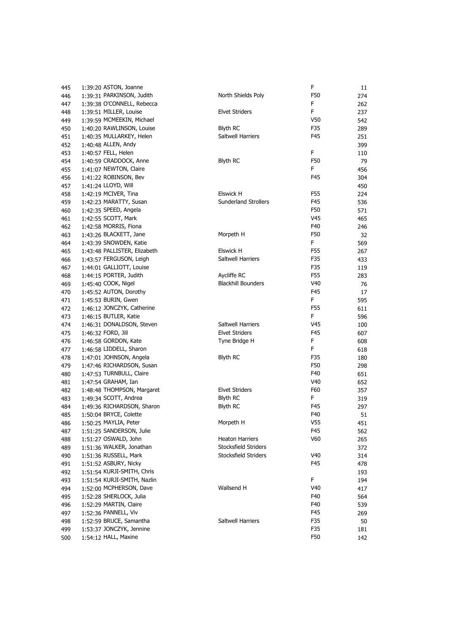| 445 | 1:39:20 ASTON, Joanne        |                       |
|-----|------------------------------|-----------------------|
| 446 | 1:39:31 PARKINSON, Judith    | North Shields         |
| 447 | 1:39:38 O'CONNELL, Rebecca   |                       |
| 448 | 1:39:51 MILLER, Louise       | Elvet Striders        |
| 449 | 1:39:59 MCMEEKIN, Michael    |                       |
| 450 | 1:40:20 RAWLINSON, Louise    | <b>Blyth RC</b>       |
| 451 | 1:40:35 MULLARKEY, Helen     | Saltwell Harrie       |
| 452 | 1:40:48 ALLEN, Andy          |                       |
| 453 | 1:40:57 FELL, Helen          |                       |
| 454 | 1:40:59 CRADDOCK, Anne       | <b>Blyth RC</b>       |
| 455 | 1:41:07 NEWTON, Claire       |                       |
| 456 | 1:41:22 ROBINSON, Bev        |                       |
| 457 | 1:41:24 LLOYD, Will          |                       |
| 458 | 1:42:19 MCIVER, Tina         | <b>Elswick H</b>      |
| 459 | 1:42:23 MARATTY, Susan       | Sunderland St         |
| 460 | 1:42:35 SPEED, Angela        |                       |
| 461 | 1:42:55 SCOTT, Mark          |                       |
| 462 | 1:42:58 MORRIS, Fiona        |                       |
| 463 | 1:43:26 BLACKETT, Jane       | Morpeth H             |
| 464 | 1:43:39 SNOWDEN, Katie       |                       |
| 465 | 1:43:48 PALLISTER, Elizabeth | Elswick H             |
| 466 | 1:43:57 FERGUSON, Leigh      | Saltwell Harrie       |
| 467 | 1:44:01 GALLIOTT, Louise     |                       |
| 468 | 1:44:15 PORTER, Judith       | Aycliffe RC           |
| 469 | 1:45:40 COOK, Nigel          | <b>Blackhill Boun</b> |
| 470 | 1:45:52 AUTON, Dorothy       |                       |
| 471 | 1:45:53 BURIN, Gwen          |                       |
| 472 | 1:46:12 JONCZYK, Catherine   |                       |
| 473 | 1:46:15 BUTLER, Katie        |                       |
| 474 | 1:46:31 DONALDSON, Steven    | Saltwell Harrie       |
| 475 | 1:46:32 FORD, Jill           | <b>Elvet Striders</b> |
| 476 | 1:46:58 GORDON, Kate         | Tyne Bridge H         |
| 477 | 1:46:58 LIDDELL, Sharon      |                       |
| 478 | 1:47:01 JOHNSON, Angela      | Blyth RC              |
| 479 | 1:47:46 RICHARDSON, Susan    |                       |
| 480 | 1:47:53 TURNBULL, Claire     |                       |
| 481 | 1:47:54 GRAHAM, Ian          |                       |
| 482 | 1:48:48 THOMPSON, Margaret   | Elvet Striders        |
| 483 | 1:49:34 SCOTT, Andrea        | <b>Blyth RC</b>       |
| 484 | 1:49:36 RICHARDSON, Sharon   | <b>Blyth RC</b>       |
| 485 | 1:50:04 BRYCE, Colette       |                       |
| 486 | 1:50:25 MAYLIA, Peter        | Morpeth H             |
| 487 | 1:51:25 SANDERSON, Julie     |                       |
| 488 | 1:51:27 OSWALD, John         | Heaton Harrie         |
| 489 | 1:51:36 WALKER, Jonathan     | Stocksfield Str       |
| 490 | 1:51:36 RUSSELL, Mark        | Stocksfield Str       |
| 491 | 1:51:52 ASBURY, Nicky        |                       |
| 492 | 1:51:54 KURJI-SMITH, Chris   |                       |
| 493 | 1:51:54 KURJI-SMITH, Nazlin  |                       |
| 494 | 1:52:00 MCPHERSON, Dave      | Wallsend H            |
| 495 | 1:52:28 SHERLOCK, Julia      |                       |
| 496 | 1:52:29 MARTIN, Claire       |                       |
| 497 | 1:52:36 PANNELL, Viv         |                       |
| 498 | 1:52:59 BRUCE, Samantha      | Saltwell Harrie       |
| 499 | 1:53:37 JONCZYK, Jennine     |                       |
| 500 | 1:54:12 HALL, Maxine         |                       |
|     |                              |                       |

| 445 | 1:39:20 ASTON, Joanne        |                             | F               | 11  |
|-----|------------------------------|-----------------------------|-----------------|-----|
| 446 | 1:39:31 PARKINSON, Judith    | North Shields Poly          | F50             | 274 |
| 447 | 1:39:38 O'CONNELL, Rebecca   |                             | F               | 262 |
| 448 | 1:39:51 MILLER, Louise       | <b>Elvet Striders</b>       | F               | 237 |
| 449 | 1:39:59 MCMEEKIN, Michael    |                             | V50             | 542 |
| 450 | 1:40:20 RAWLINSON, Louise    | <b>Blyth RC</b>             | F35             | 289 |
| 451 | 1:40:35 MULLARKEY, Helen     | Saltwell Harriers           | F45             | 251 |
| 452 | 1:40:48 ALLEN, Andy          |                             |                 | 399 |
| 453 | 1:40:57 FELL, Helen          |                             | F               | 110 |
| 454 | 1:40:59 CRADDOCK, Anne       | <b>Blyth RC</b>             | F50             | 79  |
| 455 | 1:41:07 NEWTON, Claire       |                             | F               | 456 |
| 456 | 1:41:22 ROBINSON, Bev        |                             | F45             | 304 |
| 457 | 1:41:24 LLOYD, Will          |                             |                 | 450 |
| 458 | 1:42:19 MCIVER, Tina         | <b>Elswick H</b>            | F55             | 224 |
| 459 | 1:42:23 MARATTY, Susan       | <b>Sunderland Strollers</b> | F45             | 536 |
| 460 | 1:42:35 SPEED, Angela        |                             | F50             | 571 |
| 461 | 1:42:55 SCOTT, Mark          |                             | V45             | 465 |
| 462 | 1:42:58 MORRIS, Fiona        |                             | F40             | 246 |
| 463 | 1:43:26 BLACKETT, Jane       | Morpeth H                   | F50             | 32  |
| 464 | 1:43:39 SNOWDEN, Katie       |                             | F.              | 569 |
| 465 | 1:43:48 PALLISTER, Elizabeth | <b>Elswick H</b>            | F55             | 267 |
| 466 | 1:43:57 FERGUSON, Leigh      | Saltwell Harriers           | F35             | 433 |
| 467 | 1:44:01 GALLIOTT, Louise     |                             | F35             | 119 |
| 468 | 1:44:15 PORTER, Judith       | Aycliffe RC                 | F55             | 283 |
| 469 | 1:45:40 COOK, Nigel          | <b>Blackhill Bounders</b>   | V40             | 76  |
| 470 | 1:45:52 AUTON, Dorothy       |                             | F45             | 17  |
| 471 | 1:45:53 BURIN, Gwen          |                             | F.              | 595 |
| 472 | 1:46:12 JONCZYK, Catherine   |                             | F55             | 611 |
| 473 | 1:46:15 BUTLER, Katie        |                             | F.              | 596 |
| 474 | 1:46:31 DONALDSON, Steven    | Saltwell Harriers           | V45             | 100 |
| 475 | 1:46:32 FORD, Jill           | <b>Elvet Striders</b>       | F45             | 607 |
| 476 | 1:46:58 GORDON, Kate         | Tyne Bridge H               | F               | 608 |
| 477 | 1:46:58 LIDDELL, Sharon      |                             | F               | 618 |
| 478 | 1:47:01 JOHNSON, Angela      | <b>Blyth RC</b>             | F35             | 180 |
| 479 | 1:47:46 RICHARDSON, Susan    |                             | F50             | 298 |
| 480 | 1:47:53 TURNBULL, Claire     |                             | F40             | 651 |
| 481 | 1:47:54 GRAHAM, Ian          |                             | V40             | 652 |
| 482 | 1:48:48 THOMPSON, Margaret   | <b>Elvet Striders</b>       | F60             | 357 |
| 483 | 1:49:34 SCOTT, Andrea        | <b>Blyth RC</b>             | F.              | 319 |
| 484 | 1:49:36 RICHARDSON, Sharon   | <b>Blyth RC</b>             | F45             | 297 |
| 485 | 1:50:04 BRYCE, Colette       |                             | F40             | 51  |
| 486 | 1:50:25 MAYLIA, Peter        | Morpeth H                   | V <sub>55</sub> | 451 |
| 487 | 1:51:25 SANDERSON, Julie     |                             | F45             | 562 |
| 488 | 1:51:27 OSWALD, John         | <b>Heaton Harriers</b>      | V60             | 265 |
| 489 | 1:51:36 WALKER, Jonathan     | Stocksfield Striders        |                 | 372 |
| 490 | 1:51:36 RUSSELL, Mark        | Stocksfield Striders        | V <sub>40</sub> | 314 |
| 491 | 1:51:52 ASBURY, Nicky        |                             | F45             | 478 |
| 492 | 1:51:54 KURJI-SMITH, Chris   |                             |                 | 193 |
| 493 | 1:51:54 KURJI-SMITH, Nazlin  |                             | F               | 194 |
| 494 | 1:52:00 MCPHERSON, Dave      | Wallsend H                  | V40             | 417 |
| 495 | 1:52:28 SHERLOCK, Julia      |                             | F40             | 564 |
| 496 | 1:52:29 MARTIN, Claire       |                             | F40             | 539 |
| 497 | 1:52:36 PANNELL, Viv         |                             | F45             | 269 |
| 498 | 1:52:59 BRUCE, Samantha      | Saltwell Harriers           | F35             | 50  |
| 499 | 1:53:37 JONCZYK, Jennine     |                             | F35             | 181 |
| 500 | 1:54:12 HALL, Maxine         |                             | F50             | 142 |
|     |                              |                             |                 |     |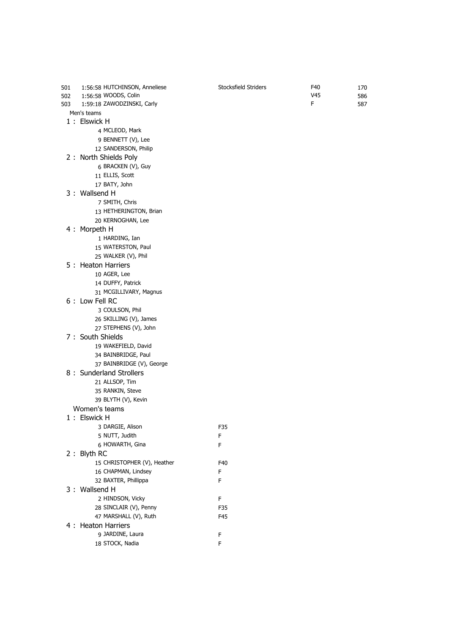| 501 | 1:56:58 HUTCHINSON, Anneliese | Stocksfield Striders | F40 | 170 |
|-----|-------------------------------|----------------------|-----|-----|
| 502 | 1:56:58 WOODS, Colin          |                      | V45 | 586 |
| 503 | 1:59:18 ZAWODZINSKI, Carly    |                      | F   | 587 |
|     | Men's teams                   |                      |     |     |
|     | 1: Elswick H                  |                      |     |     |
|     | 4 MCLEOD, Mark                |                      |     |     |
|     | 9 BENNETT (V), Lee            |                      |     |     |
|     | 12 SANDERSON, Philip          |                      |     |     |
|     | 2 : North Shields Poly        |                      |     |     |
|     | 6 BRACKEN (V), Guy            |                      |     |     |
|     | 11 ELLIS, Scott               |                      |     |     |
|     | 17 BATY, John                 |                      |     |     |
|     | 3: Wallsend H                 |                      |     |     |
|     | 7 SMITH, Chris                |                      |     |     |
|     | 13 HETHERINGTON, Brian        |                      |     |     |
|     | 20 KERNOGHAN, Lee             |                      |     |     |
|     |                               |                      |     |     |
|     | 4: Morpeth H                  |                      |     |     |
|     | 1 HARDING, Ian                |                      |     |     |
|     | 15 WATERSTON, Paul            |                      |     |     |
|     | 25 WALKER (V), Phil           |                      |     |     |
|     | 5 : Heaton Harriers           |                      |     |     |
|     | 10 AGER, Lee                  |                      |     |     |
|     | 14 DUFFY, Patrick             |                      |     |     |
|     | 31 MCGILLIVARY, Magnus        |                      |     |     |
|     | 6: Low Fell RC                |                      |     |     |
|     | 3 COULSON, Phil               |                      |     |     |
|     | 26 SKILLING (V), James        |                      |     |     |
|     | 27 STEPHENS (V), John         |                      |     |     |
|     | 7 : South Shields             |                      |     |     |
|     | 19 WAKEFIELD, David           |                      |     |     |
|     | 34 BAINBRIDGE, Paul           |                      |     |     |
|     | 37 BAINBRIDGE (V), George     |                      |     |     |
|     | 8 : Sunderland Strollers      |                      |     |     |
|     | 21 ALLSOP, Tim                |                      |     |     |
|     | 35 RANKIN, Steve              |                      |     |     |
|     | 39 BLYTH (V), Kevin           |                      |     |     |
|     | Women's teams                 |                      |     |     |
|     | 1: Elswick H                  |                      |     |     |
|     | 3 DARGIE, Alison              | F35                  |     |     |
|     | 5 NUTT, Judith                | F                    |     |     |
|     | 6 HOWARTH, Gina               | F                    |     |     |
|     | 2 : Blyth RC                  |                      |     |     |
|     | 15 CHRISTOPHER (V), Heather   | F40                  |     |     |
|     | 16 CHAPMAN, Lindsey           | F                    |     |     |
|     | 32 BAXTER, Phillippa          | F                    |     |     |
|     | 3: Wallsend H                 |                      |     |     |
|     | 2 HINDSON, Vicky              | F                    |     |     |
|     | 28 SINCLAIR (V), Penny        | F35                  |     |     |
|     | 47 MARSHALL (V), Ruth         | F45                  |     |     |
|     | 4 : Heaton Harriers           |                      |     |     |
|     | 9 JARDINE, Laura              | F                    |     |     |
|     | 18 STOCK, Nadia               | F                    |     |     |
|     |                               |                      |     |     |